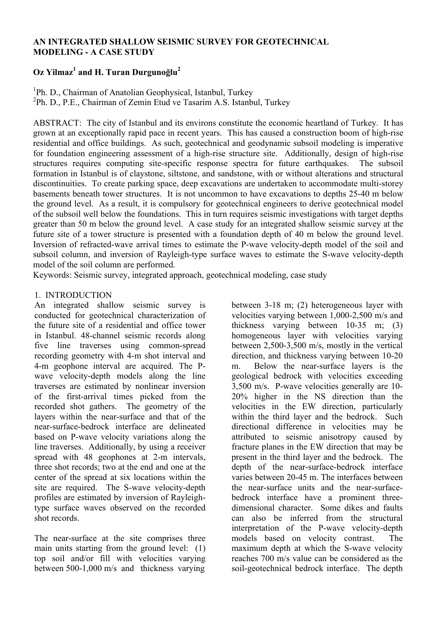# **AN INTEGRATED SHALLOW SEISMIC SURVEY FOR GEOTECHNICAL MODELING - A CASE STUDY**

# **Oz Yilmaz1 and H. Turan Durgunoğlu2**

<sup>1</sup>Ph. D., Chairman of Anatolian Geophysical, Istanbul, Turkey <sup>2</sup>Ph. D., P.E., Chairman of Zemin Etud ve Tasarim A.S. Istanbul, Turkey

ABSTRACT: The city of Istanbul and its environs constitute the economic heartland of Turkey. It has grown at an exceptionally rapid pace in recent years. This has caused a construction boom of high-rise residential and office buildings. As such, geotechnical and geodynamic subsoil modeling is imperative for foundation engineering assessment of a high-rise structure site. Additionally, design of high-rise structures requires computing site-specific response spectra for future earthquakes. The subsoil formation in Istanbul is of claystone, siltstone, and sandstone, with or without alterations and structural discontinuities. To create parking space, deep excavations are undertaken to accommodate multi-storey basements beneath tower structures. It is not uncommon to have excavations to depths 25-40 m below the ground level. As a result, it is compulsory for geotechnical engineers to derive geotechnical model of the subsoil well below the foundations. This in turn requires seismic investigations with target depths greater than 50 m below the ground level. A case study for an integrated shallow seismic survey at the future site of a tower structure is presented with a foundation depth of 40 m below the ground level. Inversion of refracted-wave arrival times to estimate the P-wave velocity-depth model of the soil and subsoil column, and inversion of Rayleigh-type surface waves to estimate the S-wave velocity-depth model of the soil column are performed.

Keywords: Seismic survey, integrated approach, geotechnical modeling, case study

## 1. INTRODUCTION

An integrated shallow seismic survey is conducted for geotechnical characterization of the future site of a residential and office tower in Istanbul. 48-channel seismic records along five line traverses using common-spread recording geometry with 4-m shot interval and 4-m geophone interval are acquired. The Pwave velocity-depth models along the line traverses are estimated by nonlinear inversion of the first-arrival times picked from the recorded shot gathers. The geometry of the layers within the near-surface and that of the near-surface-bedrock interface are delineated based on P-wave velocity variations along the line traverses. Additionally, by using a receiver spread with 48 geophones at 2-m intervals, three shot records; two at the end and one at the center of the spread at six locations within the site are required. The S-wave velocity-depth profiles are estimated by inversion of Rayleightype surface waves observed on the recorded shot records.

The near-surface at the site comprises three main units starting from the ground level: (1) top soil and/or fill with velocities varying between 500-1,000 m/s and thickness varying

between 3-18 m; (2) heterogeneous layer with velocities varying between 1,000-2,500 m/s and thickness varying between 10-35 m; (3) homogeneous layer with velocities varying between 2,500-3,500 m/s, mostly in the vertical direction, and thickness varying between 10-20 m. Below the near-surface layers is the geological bedrock with velocities exceeding 3,500 m/s. P-wave velocities generally are 10- 20% higher in the NS direction than the velocities in the EW direction, particularly within the third layer and the bedrock. Such directional difference in velocities may be attributed to seismic anisotropy caused by fracture planes in the EW direction that may be present in the third layer and the bedrock. The depth of the near-surface-bedrock interface varies between 20-45 m. The interfaces between the near-surface units and the near-surfacebedrock interface have a prominent threedimensional character. Some dikes and faults can also be inferred from the structural interpretation of the P-wave velocity-depth models based on velocity contrast. maximum depth at which the S-wave velocity reaches 700 m/s value can be considered as the soil-geotechnical bedrock interface. The depth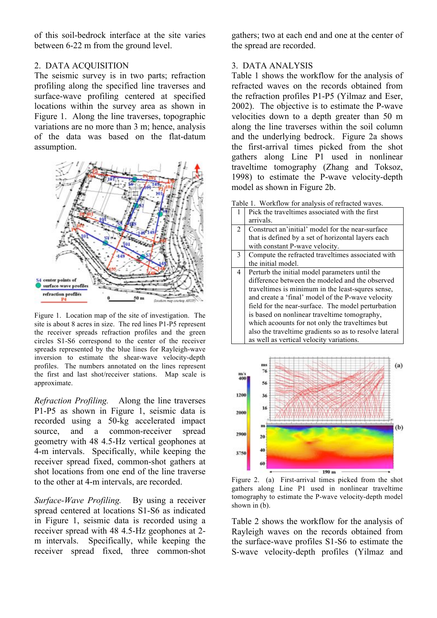of this soil-bedrock interface at the site varies between 6-22 m from the ground level.

#### 2. DATA ACQUISITION

The seismic survey is in two parts; refraction profiling along the specified line traverses and surface-wave profiling centered at specified locations within the survey area as shown in Figure 1. Along the line traverses, topographic variations are no more than 3 m; hence, analysis of the data was based on the flat-datum assumption.



Figure 1. Location map of the site of investigation. The site is about 8 acres in size. The red lines P1-P5 represent the receiver spreads refraction profiles and the green circles S1-S6 correspond to the center of the receiver spreads represented by the blue lines for Rayleigh-wave inversion to estimate the shear-wave velocity-depth profiles. The numbers annotated on the lines represent the first and last shot/receiver stations. Map scale is approximate.

*Refraction Profiling.* Along the line traverses P1-P5 as shown in Figure 1, seismic data is recorded using a 50-kg accelerated impact source, and a common-receiver spread geometry with 48 4.5-Hz vertical geophones at 4-m intervals. Specifically, while keeping the receiver spread fixed, common-shot gathers at shot locations from one end of the line traverse to the other at 4-m intervals, are recorded.

*Surface-Wave Profiling.* By using a receiver spread centered at locations S1-S6 as indicated in Figure 1, seismic data is recorded using a receiver spread with 48 4.5-Hz geophones at 2 m intervals. Specifically, while keeping the receiver spread fixed, three common-shot gathers; two at each end and one at the center of the spread are recorded.

# 3. DATA ANALYSIS

Table 1 shows the workflow for the analysis of refracted waves on the records obtained from the refraction profiles P1-P5 (Yilmaz and Eser, 2002). The objective is to estimate the P-wave velocities down to a depth greater than 50 m along the line traverses within the soil column and the underlying bedrock. Figure 2a shows the first-arrival times picked from the shot gathers along Line P1 used in nonlinear traveltime tomography (Zhang and Toksoz, 1998) to estimate the P-wave velocity-depth model as shown in Figure 2b.

Table 1. Workflow for analysis of refracted waves.

| 1              | Pick the traveltimes associated with the first         |
|----------------|--------------------------------------------------------|
|                | arrivals.                                              |
| $\mathfrak{D}$ | Construct an'initial' model for the near-surface       |
|                | that is defined by a set of horizontal layers each     |
|                | with constant P-wave velocity.                         |
| 3              | Compute the refracted traveltimes associated with      |
|                | the initial model.                                     |
| 4              | Perturb the initial model parameters until the         |
|                | difference between the modeled and the observed        |
|                | traveltimes is minimum in the least-squres sense,      |
|                | and create a 'final' model of the P-wave velocity      |
|                | field for the near-surface. The model perturbation     |
|                | is based on nonlinear traveltime tomography,           |
|                | which acoounts for not only the traveltimes but        |
|                | also the traveltime gradients so as to resolve lateral |
|                | as well as vertical velocity variations.               |
|                |                                                        |



Figure 2. (a) First-arrival times picked from the shot gathers along Line P1 used in nonlinear traveltime tomography to estimate the P-wave velocity-depth model shown in (b).

Table 2 shows the workflow for the analysis of Rayleigh waves on the records obtained from the surface-wave profiles S1-S6 to estimate the S-wave velocity-depth profiles (Yilmaz and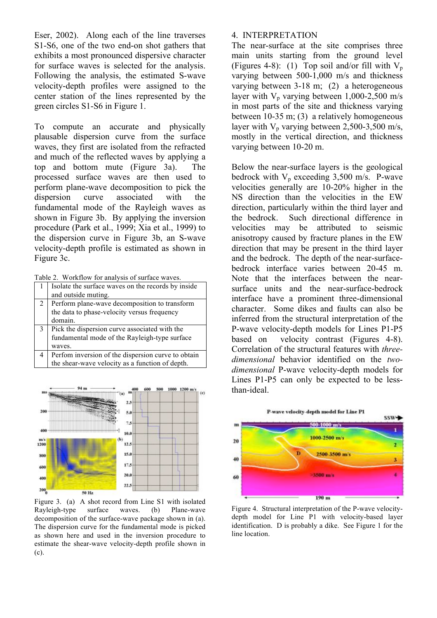Eser, 2002). Along each of the line traverses S1-S6, one of the two end-on shot gathers that exhibits a most pronounced dispersive character for surface waves is selected for the analysis. Following the analysis, the estimated S-wave velocity-depth profiles were assigned to the center station of the lines represented by the green circles S1-S6 in Figure 1.

To compute an accurate and physically plausable dispersion curve from the surface waves, they first are isolated from the refracted and much of the reflected waves by applying a top and bottom mute (Figure 3a). The processed surface waves are then used to perform plane-wave decomposition to pick the dispersion curve associated with the fundamental mode of the Rayleigh waves as shown in Figure 3b. By applying the inversion procedure (Park et al., 1999; Xia et al., 1999) to the dispersion curve in Figure 3b, an S-wave velocity-depth profile is estimated as shown in Figure 3c.

Table 2. Workflow for analysis of surface waves.

| Table 2. WOIKHOW for allarysis of surface waves. |                                                    |
|--------------------------------------------------|----------------------------------------------------|
| 1                                                | Isolate the surface waves on the records by inside |
|                                                  | and outside muting.                                |
| 2 <sup>1</sup>                                   | Perform plane-wave decomposition to transform      |
|                                                  | the data to phase-velocity versus frequency        |
|                                                  | domain.                                            |
| $\mathbf{3}$                                     | Pick the dispersion curve associated with the      |
|                                                  | fundamental mode of the Rayleigh-type surface      |
|                                                  | waves.                                             |
| 4                                                | Perfom inversion of the dispersion curve to obtain |
|                                                  | the shear-wave velocity as a function of depth.    |



Figure 3. (a) A shot record from Line S1 with isolated Rayleigh-type surface waves. (b) Plane-wave decomposition of the surface-wave package shown in (a). The dispersion curve for the fundamental mode is picked as shown here and used in the inversion procedure to estimate the shear-wave velocity-depth profile shown in (c).

#### 4. INTERPRETATION

The near-surface at the site comprises three main units starting from the ground level (Figures 4-8): (1) Top soil and/or fill with  $V_p$ varying between 500-1,000 m/s and thickness varying between 3-18 m; (2) a heterogeneous layer with  $V_p$  varying between 1,000-2,500 m/s in most parts of the site and thickness varying between 10-35 m; (3) a relatively homogeneous layer with  $V_p$  varying between 2,500-3,500 m/s, mostly in the vertical direction, and thickness varying between 10-20 m.

Below the near-surface layers is the geological bedrock with  $V_p$  exceeding 3,500 m/s. P-wave velocities generally are 10-20% higher in the NS direction than the velocities in the EW direction, particularly within the third layer and the bedrock. Such directional difference in velocities may be attributed to seismic anisotropy caused by fracture planes in the EW direction that may be present in the third layer and the bedrock. The depth of the near-surfacebedrock interface varies between 20-45 m. Note that the interfaces between the nearsurface units and the near-surface-bedrock interface have a prominent three-dimensional character. Some dikes and faults can also be inferred from the structural interpretation of the P-wave velocity-depth models for Lines P1-P5 based on velocity contrast (Figures 4-8). Correlation of the structural features with *threedimensional* behavior identified on the *twodimensional* P-wave velocity-depth models for Lines P1-P5 can only be expected to be lessthan-ideal.



Figure 4. Structural interpretation of the P-wave velocitydepth model for Line P1 with velocity-based layer identification. D is probably a dike. See Figure 1 for the line location.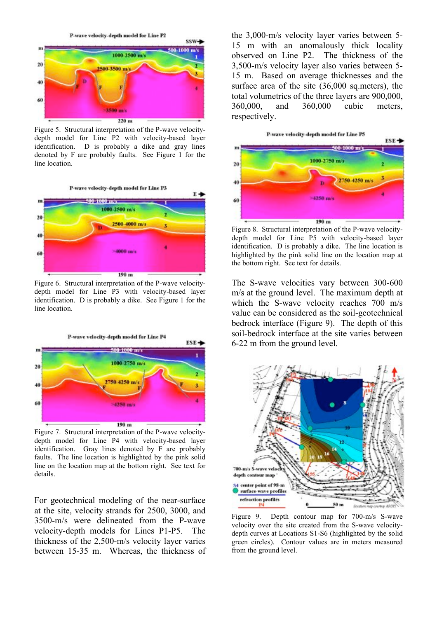

Figure 5. Structural interpretation of the P-wave velocitydepth model for Line P2 with velocity-based layer identification. D is probably a dike and gray lines denoted by F are probably faults. See Figure 1 for the line location.



Figure 6. Structural interpretation of the P-wave velocitydepth model for Line P3 with velocity-based layer identification. D is probably a dike. See Figure 1 for the line location.



Figure 7. Structural interpretation of the P-wave velocitydepth model for Line P4 with velocity-based layer identification. Gray lines denoted by F are probably faults. The line location is highlighted by the pink solid line on the location map at the bottom right. See text for details.

For geotechnical modeling of the near-surface at the site, velocity strands for 2500, 3000, and 3500-m/s were delineated from the P-wave velocity-depth models for Lines P1-P5. The thickness of the 2,500-m/s velocity layer varies between 15-35 m. Whereas, the thickness of the 3,000-m/s velocity layer varies between 5- 15 m with an anomalously thick locality observed on Line P2. The thickness of the 3,500-m/s velocity layer also varies between 5- 15 m. Based on average thicknesses and the surface area of the site (36,000 sq.meters), the total volumetrics of the three layers are 900,000, 360,000, and 360,000 cubic meters, respectively.



Figure 8. Structural interpretation of the P-wave velocitydepth model for Line P5 with velocity-based layer identification. D is probably a dike. The line location is highlighted by the pink solid line on the location map at the bottom right. See text for details.

The S-wave velocities vary between 300-600 m/s at the ground level. The maximum depth at which the S-wave velocity reaches 700 m/s value can be considered as the soil-geotechnical bedrock interface (Figure 9). The depth of this soil-bedrock interface at the site varies between 6-22 m from the ground level.



Figure 9. Depth contour map for 700-m/s S-wave velocity over the site created from the S-wave velocitydepth curves at Locations S1-S6 (highlighted by the solid green circles). Contour values are in meters measured from the ground level.